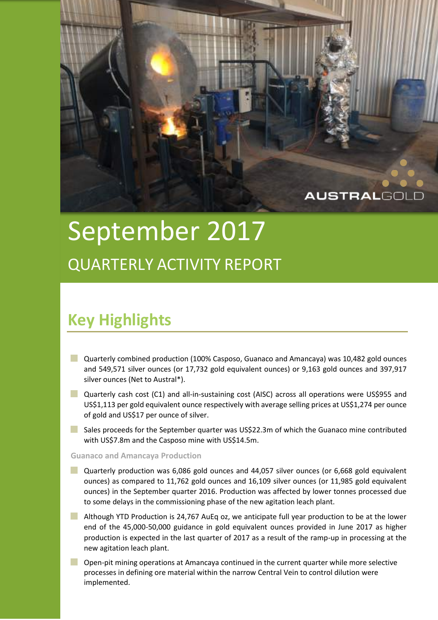

# September 2017 QUARTERLY ACTIVITY REPORT

## **Key Highlights**

- Quarterly combined production (100% Casposo, Guanaco and Amancaya) was 10,482 gold ounces and 549,571 silver ounces (or 17,732 gold equivalent ounces) or 9,163 gold ounces and 397,917 silver ounces (Net to Austral\*).
- **Quarterly cash cost (C1) and all-in-sustaining cost (AISC) across all operations were US\$955 and** US\$1,113 per gold equivalent ounce respectively with average selling prices at US\$1,274 per ounce of gold and US\$17 per ounce of silver.
- Sales proceeds for the September quarter was US\$22.3m of which the Guanaco mine contributed with US\$7.8m and the Casposo mine with US\$14.5m.

**Guanaco and Amancaya Production**

- Quarterly production was 6,086 gold ounces and 44,057 silver ounces (or 6,668 gold equivalent ounces) as compared to 11,762 gold ounces and 16,109 silver ounces (or 11,985 gold equivalent ounces) in the September quarter 2016. Production was affected by lower tonnes processed due to some delays in the commissioning phase of the new agitation leach plant.
- Although YTD Production is 24,767 AuEq oz, we anticipate full year production to be at the lower end of the 45,000-50,000 guidance in gold equivalent ounces provided in June 2017 as higher production is expected in the last quarter of 2017 as a result of the ramp-up in processing at the new agitation leach plant.
- Open-pit mining operations at Amancaya continued in the current quarter while more selective processes in defining ore material within the narrow Central Vein to control dilution were implemented.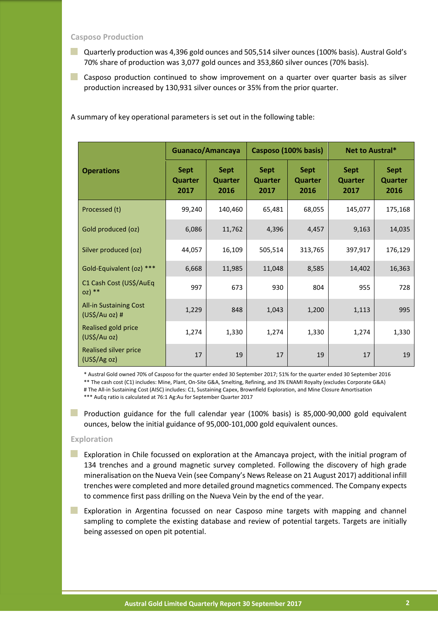**Casposo Production**

- Quarterly production was 4,396 gold ounces and 505,514 silver ounces (100% basis). Austral Gold's 70% share of production was 3,077 gold ounces and 353,860 silver ounces (70% basis).
- **Casposo production continued to show improvement on a quarter over quarter basis as silver** production increased by 130,931 silver ounces or 35% from the prior quarter.

A summary of key operational parameters is set out in the following table:

|                                                 | Guanaco/Amancaya                      |                                | Casposo (100% basis)                  |                                | Net to Austral*                       |                                       |
|-------------------------------------------------|---------------------------------------|--------------------------------|---------------------------------------|--------------------------------|---------------------------------------|---------------------------------------|
| <b>Operations</b>                               | <b>Sept</b><br><b>Quarter</b><br>2017 | <b>Sept</b><br>Quarter<br>2016 | <b>Sept</b><br><b>Quarter</b><br>2017 | <b>Sept</b><br>Quarter<br>2016 | <b>Sept</b><br><b>Quarter</b><br>2017 | <b>Sept</b><br><b>Quarter</b><br>2016 |
| Processed (t)                                   | 99,240                                | 140,460                        | 65,481                                | 68,055                         | 145,077                               | 175,168                               |
| Gold produced (oz)                              | 6,086                                 | 11,762                         | 4,396                                 | 4,457                          | 9,163                                 | 14,035                                |
| Silver produced (oz)                            | 44,057                                | 16,109                         | 505,514                               | 313,765                        | 397,917                               | 176,129                               |
| Gold-Equivalent (oz) ***                        | 6,668                                 | 11,985                         | 11,048                                | 8,585                          | 14,402                                | 16,363                                |
| C1 Cash Cost (US\$/AuEq<br>$OZ$ <sup>**</sup>   | 997                                   | 673                            | 930                                   | 804                            | 955                                   | 728                                   |
| <b>All-in Sustaining Cost</b><br>(US\$/Au oz) # | 1,229                                 | 848                            | 1,043                                 | 1,200                          | 1,113                                 | 995                                   |
| Realised gold price<br>(US\$/Au oz)             | 1,274                                 | 1,330                          | 1,274                                 | 1,330                          | 1,274                                 | 1,330                                 |
| <b>Realised silver price</b><br>(US\$/Ag oz)    | 17                                    | 19                             | 17                                    | 19                             | 17                                    | 19                                    |

\* Austral Gold owned 70% of Casposo for the quarter ended 30 September 2017; 51% for the quarter ended 30 September 2016 \*\* The cash cost (C1) includes: Mine, Plant, On-Site G&A, Smelting, Refining, and 3% ENAMI Royalty (excludes Corporate G&A) # The All-in Sustaining Cost (AISC) includes: C1, Sustaining Capex, Brownfield Exploration, and Mine Closure Amortisation \*\*\* AuEq ratio is calculated at 76:1 Ag:Au for September Quarter 2017

**Production guidance for the full calendar year (100% basis) is 85,000-90,000 gold equivalent** ounces, below the initial guidance of 95,000-101,000 gold equivalent ounces.

#### **Exploration**

- **EXPLORATION EXPLORATION In Chile focussed on exploration at the Amancaya project, with the initial program of** 134 trenches and a ground magnetic survey completed. Following the discovery of high grade mineralisation on the Nueva Vein (see Company's News Release on 21 August 2017) additional infill trenches were completed and more detailed ground magnetics commenced. The Company expects to commence first pass drilling on the Nueva Vein by the end of the year.
- **Exploration in Argentina focussed on near Casposo mine targets with mapping and channel** sampling to complete the existing database and review of potential targets. Targets are initially being assessed on open pit potential.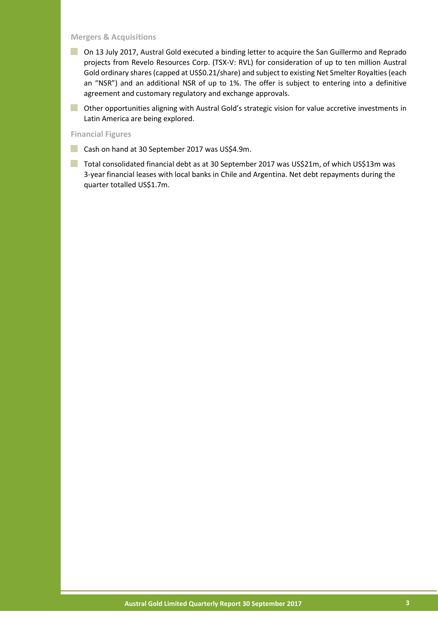#### **Mergers & Acquisitions**

- **Dum** On 13 July 2017, Austral Gold executed a binding letter to acquire the San Guillermo and Reprado projects from Revelo Resources Corp. (TSX-V: RVL) for consideration of up to ten million Austral Gold ordinary shares (capped at US\$0.21/share) and subject to existing Net Smelter Royalties (each an "NSR") and an additional NSR of up to 1%. The offer is subject to entering into a definitive agreement and customary regulatory and exchange approvals.
- **Other opportunities aligning with Austral Gold's strategic vision for value accretive investments in** Latin America are being explored.

#### **Financial Figures**

- Cash on hand at 30 September 2017 was US\$4.9m.
- Total consolidated financial debt as at 30 September 2017 was US\$21m, of which US\$13m was 3-year financial leases with local banks in Chile and Argentina. Net debt repayments during the quarter totalled US\$1.7m.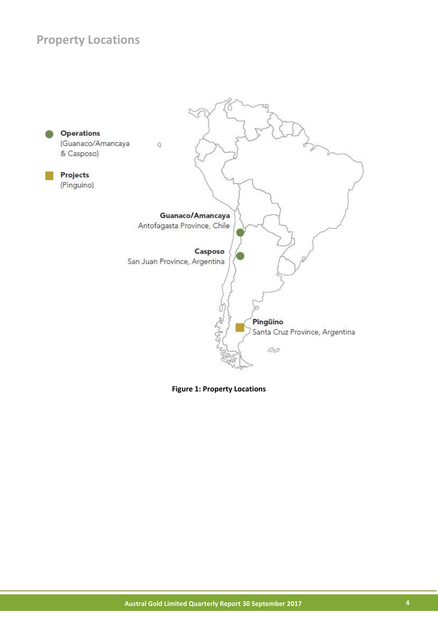## **Property Locations**



**Figure 1: Property Locations**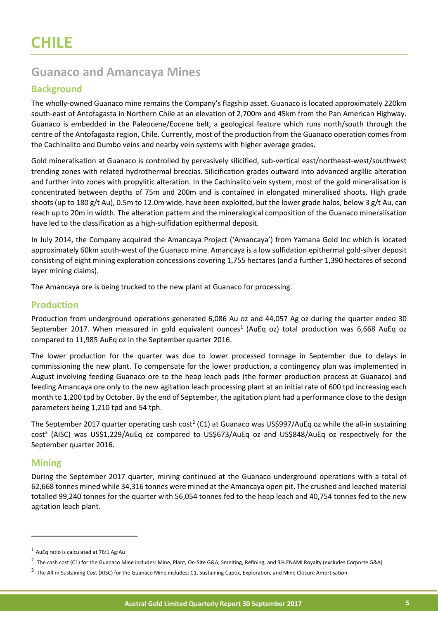## **Guanaco and Amancaya Mines**

#### **Background**

The wholly-owned Guanaco mine remains the Company's flagship asset. Guanaco is located approximately 220km south-east of Antofagasta in Northern Chile at an elevation of 2,700m and 45km from the Pan American Highway. Guanaco is embedded in the Paleocene/Eocene belt, a geological feature which runs north/south through the centre of the Antofagasta region, Chile. Currently, most of the production from the Guanaco operation comes from the Cachinalito and Dumbo veins and nearby vein systems with higher average grades.

Gold mineralisation at Guanaco is controlled by pervasively silicified, sub-vertical east/northeast-west/southwest trending zones with related hydrothermal breccias. Silicification grades outward into advanced argillic alteration and further into zones with propylitic alteration. In the Cachinalito vein system, most of the gold mineralisation is concentrated between depths of 75m and 200m and is contained in elongated mineralised shoots. High grade shoots (up to 180 g/t Au), 0.5m to 12.0m wide, have been exploited, but the lower grade halos, below 3 g/t Au, can reach up to 20m in width. The alteration pattern and the mineralogical composition of the Guanaco mineralisation have led to the classification as a high-sulfidation epithermal deposit.

In July 2014, the Company acquired the Amancaya Project ('Amancaya') from Yamana Gold Inc which is located approximately 60km south-west of the Guanaco mine. Amancaya is a low sulfidation epithermal gold-silver deposit consisting of eight mining exploration concessions covering 1,755 hectares (and a further 1,390 hectares of second layer mining claims).

The Amancaya ore is being trucked to the new plant at Guanaco for processing.

#### **Production**

Production from underground operations generated 6,086 Au oz and 44,057 Ag oz during the quarter ended 30 September 2017. When measured in gold equivalent ounces<sup>1</sup> (AuEq oz) total production was 6,668 AuEq oz compared to 11,985 AuEq oz in the September quarter 2016.

The lower production for the quarter was due to lower processed tonnage in September due to delays in commissioning the new plant. To compensate for the lower production, a contingency plan was implemented in August involving feeding Guanaco ore to the heap leach pads (the former production process at Guanaco) and feeding Amancaya ore only to the new agitation leach processing plant at an initial rate of 600 tpd increasing each month to 1,200 tpd by October. By the end of September, the agitation plant had a performance close to the design parameters being 1,210 tpd and 54 tph.

The September 2017 quarter operating cash cost<sup>2</sup> (C1) at Guanaco was US\$997/AuEq oz while the all-in sustaining cost<sup>3</sup> (AISC) was US\$1,229/AuEq oz compared to US\$673/AuEq oz and US\$848/AuEq oz respectively for the September quarter 2016.

#### **Mining**

 $\overline{a}$ 

During the September 2017 quarter, mining continued at the Guanaco underground operations with a total of 62,668 tonnes mined while 34,316 tonnes were mined at the Amancaya open pit. The crushed and leached material totalled 99,240 tonnes for the quarter with 56,054 tonnes fed to the heap leach and 40,754 tonnes fed to the new agitation leach plant.

 $<sup>1</sup>$  AuEq ratio is calculated at 76:1 Ag:Au</sup>

<sup>&</sup>lt;sup>2</sup> The cash cost (C1) for the Guanaco Mine includes: Mine, Plant, On-Site G&A, Smelting, Refining, and 3% ENAMI Royalty (excludes Corporte G&A)

<sup>&</sup>lt;sup>3</sup> The All-in Sustaining Cost (AISC) for the Guanaco Mine includes: C1, Sustaining Capex, Exploration, and Mine Closure Amortisation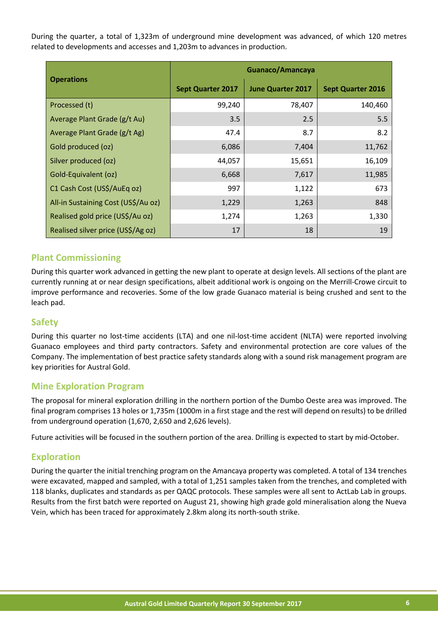During the quarter, a total of 1,323m of underground mine development was advanced, of which 120 metres related to developments and accesses and 1,203m to advances in production.

|                                     | Guanaco/Amancaya         |                          |                          |  |
|-------------------------------------|--------------------------|--------------------------|--------------------------|--|
| <b>Operations</b>                   | <b>Sept Quarter 2017</b> | <b>June Quarter 2017</b> | <b>Sept Quarter 2016</b> |  |
| Processed (t)                       | 99,240                   | 78,407                   | 140,460                  |  |
| Average Plant Grade (g/t Au)        | 3.5                      | 2.5                      | 5.5                      |  |
| Average Plant Grade (g/t Ag)        | 47.4                     | 8.7                      | 8.2                      |  |
| Gold produced (oz)                  | 6,086                    | 7,404                    | 11,762                   |  |
| Silver produced (oz)                | 44,057                   | 15,651                   | 16,109                   |  |
| Gold-Equivalent (oz)                | 6,668                    | 7,617                    | 11,985                   |  |
| C1 Cash Cost (US\$/AuEq oz)         | 997                      | 1,122                    | 673                      |  |
| All-in Sustaining Cost (US\$/Au oz) | 1,229                    | 1,263                    | 848                      |  |
| Realised gold price (US\$/Au oz)    | 1,274                    | 1,263                    | 1,330                    |  |
| Realised silver price (US\$/Ag oz)  | 17                       | 18                       | 19                       |  |

#### **Plant Commissioning**

During this quarter work advanced in getting the new plant to operate at design levels. All sections of the plant are currently running at or near design specifications, albeit additional work is ongoing on the Merrill-Crowe circuit to improve performance and recoveries. Some of the low grade Guanaco material is being crushed and sent to the leach pad.

#### **Safety**

During this quarter no lost-time accidents (LTA) and one nil-lost-time accident (NLTA) were reported involving Guanaco employees and third party contractors. Safety and environmental protection are core values of the Company. The implementation of best practice safety standards along with a sound risk management program are key priorities for Austral Gold.

#### **Mine Exploration Program**

The proposal for mineral exploration drilling in the northern portion of the Dumbo Oeste area was improved. The final program comprises 13 holes or 1,735m (1000m in a first stage and the rest will depend on results) to be drilled from underground operation (1,670, 2,650 and 2,626 levels).

Future activities will be focused in the southern portion of the area. Drilling is expected to start by mid-October.

#### **Exploration**

During the quarter the initial trenching program on the Amancaya property was completed. A total of 134 trenches were excavated, mapped and sampled, with a total of 1,251 samples taken from the trenches, and completed with 118 blanks, duplicates and standards as per QAQC protocols. These samples were all sent to ActLab Lab in groups. Results from the first batch were reported on August 21, showing high grade gold mineralisation along the Nueva Vein, which has been traced for approximately 2.8km along its north-south strike.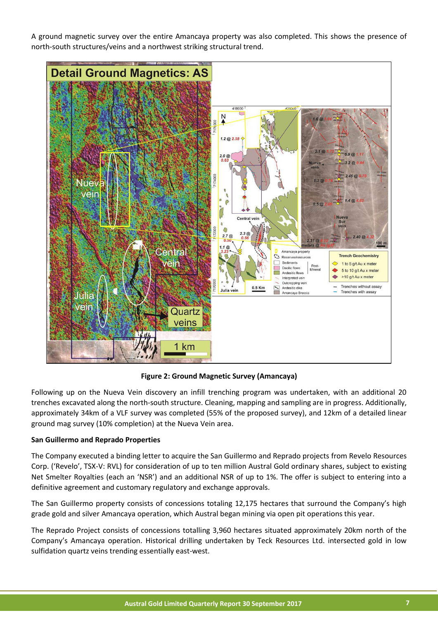A ground magnetic survey over the entire Amancaya property was also completed. This shows the presence of north-south structures/veins and a northwest striking structural trend.



**Figure 2: Ground Magnetic Survey (Amancaya)**

Following up on the Nueva Vein discovery an infill trenching program was undertaken, with an additional 20 trenches excavated along the north-south structure. Cleaning, mapping and sampling are in progress. Additionally, approximately 34km of a VLF survey was completed (55% of the proposed survey), and 12km of a detailed linear ground mag survey (10% completion) at the Nueva Vein area.

#### **San Guillermo and Reprado Properties**

The Company executed a binding letter to acquire the San Guillermo and Reprado projects from Revelo Resources Corp. ('Revelo', TSX-V: RVL) for consideration of up to ten million Austral Gold ordinary shares, subject to existing Net Smelter Royalties (each an 'NSR') and an additional NSR of up to 1%. The offer is subject to entering into a definitive agreement and customary regulatory and exchange approvals.

The San Guillermo property consists of concessions totaling 12,175 hectares that surround the Company's high grade gold and silver Amancaya operation, which Austral began mining via open pit operations this year.

The Reprado Project consists of concessions totalling 3,960 hectares situated approximately 20km north of the Company's Amancaya operation. Historical drilling undertaken by Teck Resources Ltd. intersected gold in low sulfidation quartz veins trending essentially east-west.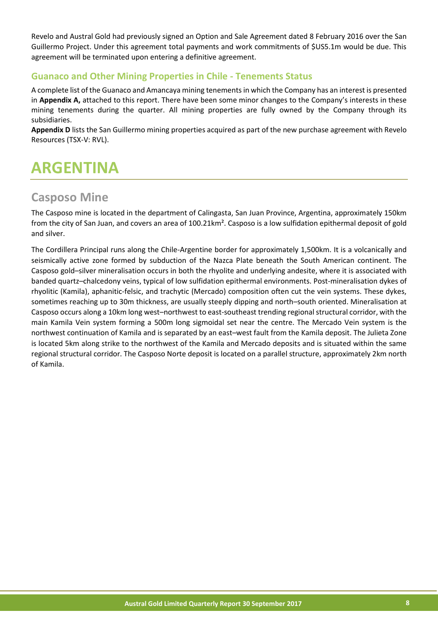Revelo and Austral Gold had previously signed an Option and Sale Agreement dated 8 February 2016 over the San Guillermo Project. Under this agreement total payments and work commitments of \$US5.1m would be due. This agreement will be terminated upon entering a definitive agreement.

#### **Guanaco and Other Mining Properties in Chile - Tenements Status**

A complete list of the Guanaco and Amancaya mining tenements in which the Company has an interest is presented in **Appendix A,** attached to this report. There have been some minor changes to the Company's interests in these mining tenements during the quarter. All mining properties are fully owned by the Company through its subsidiaries.

**Appendix D** lists the San Guillermo mining properties acquired as part of the new purchase agreement with Revelo Resources (TSX-V: RVL).

## **ARGENTINA**

### **Casposo Mine**

The Casposo mine is located in the department of Calingasta, San Juan Province, Argentina, approximately 150km from the city of San Juan, and covers an area of 100.21km². Casposo is a low sulfidation epithermal deposit of gold and silver.

The Cordillera Principal runs along the Chile-Argentine border for approximately 1,500km. It is a volcanically and seismically active zone formed by subduction of the Nazca Plate beneath the South American continent. The Casposo gold–silver mineralisation occurs in both the rhyolite and underlying andesite, where it is associated with banded quartz–chalcedony veins, typical of low sulfidation epithermal environments. Post-mineralisation dykes of rhyolitic (Kamila), aphanitic-felsic, and trachytic (Mercado) composition often cut the vein systems. These dykes, sometimes reaching up to 30m thickness, are usually steeply dipping and north–south oriented. Mineralisation at Casposo occurs along a 10km long west–northwest to east-southeast trending regional structural corridor, with the main Kamila Vein system forming a 500m long sigmoidal set near the centre. The Mercado Vein system is the northwest continuation of Kamila and is separated by an east–west fault from the Kamila deposit. The Julieta Zone is located 5km along strike to the northwest of the Kamila and Mercado deposits and is situated within the same regional structural corridor. The Casposo Norte deposit is located on a parallel structure, approximately 2km north of Kamila.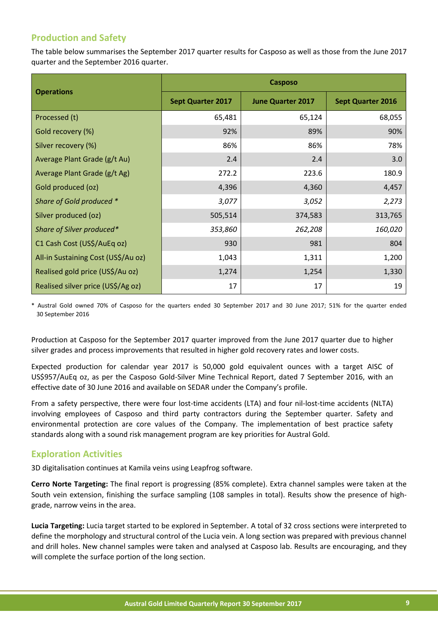#### **Production and Safety**

The table below summarises the September 2017 quarter results for Casposo as well as those from the June 2017 quarter and the September 2016 quarter.

|                                     | <b>Casposo</b>           |                          |                          |  |
|-------------------------------------|--------------------------|--------------------------|--------------------------|--|
| <b>Operations</b>                   | <b>Sept Quarter 2017</b> | <b>June Quarter 2017</b> | <b>Sept Quarter 2016</b> |  |
| Processed (t)                       | 65,481                   | 65,124                   | 68,055                   |  |
| Gold recovery (%)                   | 92%                      | 89%                      | 90%                      |  |
| Silver recovery (%)                 | 86%                      | 86%                      | 78%                      |  |
| Average Plant Grade (g/t Au)        | 2.4                      | 2.4                      | 3.0                      |  |
| Average Plant Grade (g/t Ag)        | 272.2                    | 223.6                    | 180.9                    |  |
| Gold produced (oz)                  | 4,396                    | 4,360                    | 4,457                    |  |
| Share of Gold produced *            | 3,077                    | 3,052                    | 2,273                    |  |
| Silver produced (oz)                | 505,514                  | 374,583                  | 313,765                  |  |
| Share of Silver produced*           | 353,860                  | 262,208                  | 160,020                  |  |
| C1 Cash Cost (US\$/AuEq oz)         | 930                      | 981                      | 804                      |  |
| All-in Sustaining Cost (US\$/Au oz) | 1,043                    | 1,311                    | 1,200                    |  |
| Realised gold price (US\$/Au oz)    | 1,274                    | 1,254                    | 1,330                    |  |
| Realised silver price (US\$/Ag oz)  | 17                       | 17                       | 19                       |  |

\* Austral Gold owned 70% of Casposo for the quarters ended 30 September 2017 and 30 June 2017; 51% for the quarter ended 30 September 2016

Production at Casposo for the September 2017 quarter improved from the June 2017 quarter due to higher silver grades and process improvements that resulted in higher gold recovery rates and lower costs.

Expected production for calendar year 2017 is 50,000 gold equivalent ounces with a target AISC of US\$957/AuEq oz, as per the Casposo Gold-Silver Mine Technical Report, dated 7 September 2016, with an effective date of 30 June 2016 and available on SEDAR under the Company's profile.

From a safety perspective, there were four lost-time accidents (LTA) and four nil-lost-time accidents (NLTA) involving employees of Casposo and third party contractors during the September quarter. Safety and environmental protection are core values of the Company. The implementation of best practice safety standards along with a sound risk management program are key priorities for Austral Gold.

#### **Exploration Activities**

3D digitalisation continues at Kamila veins using Leapfrog software.

**Cerro Norte Targeting:** The final report is progressing (85% complete). Extra channel samples were taken at the South vein extension, finishing the surface sampling (108 samples in total). Results show the presence of highgrade, narrow veins in the area.

**Lucia Targeting:** Lucia target started to be explored in September. A total of 32 cross sections were interpreted to define the morphology and structural control of the Lucia vein. A long section was prepared with previous channel and drill holes. New channel samples were taken and analysed at Casposo lab. Results are encouraging, and they will complete the surface portion of the long section.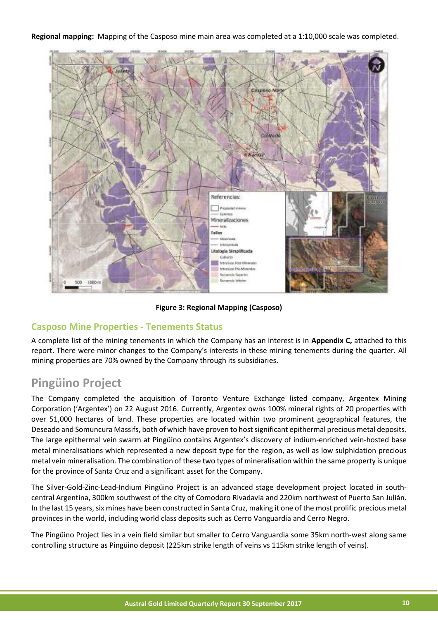#### **Regional mapping:** Mapping of the Casposo mine main area was completed at a 1:10,000 scale was completed.



**Figure 3: Regional Mapping (Casposo)**

#### **Casposo Mine Properties - Tenements Status**

A complete list of the mining tenements in which the Company has an interest is in **Appendix C,** attached to this report. There were minor changes to the Company's interests in these mining tenements during the quarter. All mining properties are 70% owned by the Company through its subsidiaries.

### **Pingüino Project**

The Company completed the acquisition of Toronto Venture Exchange listed company, Argentex Mining Corporation ('Argentex') on 22 August 2016. Currently, Argentex owns 100% mineral rights of 20 properties with over 51,000 hectares of land. These properties are located within two prominent geographical features, the Deseado and Somuncura Massifs, both of which have proven to host significant epithermal precious metal deposits. The large epithermal vein swarm at Pingüino contains Argentex's discovery of indium-enriched vein-hosted base metal mineralisations which represented a new deposit type for the region, as well as low sulphidation precious metal vein mineralisation. The combination of these two types of mineralisation within the same property is unique for the province of Santa Cruz and a significant asset for the Company.

The Silver-Gold-Zinc-Lead-Indium Pingüino Project is an advanced stage development project located in southcentral Argentina, 300km southwest of the city of Comodoro Rivadavia and 220km northwest of Puerto San Julián. In the last 15 years, six mines have been constructed in Santa Cruz, making it one of the most prolific precious metal provinces in the world, including world class deposits such as Cerro Vanguardia and Cerro Negro.

The Pingüino Project lies in a vein field similar but smaller to Cerro Vanguardia some 35km north-west along same controlling structure as Pingüino deposit (225km strike length of veins vs 115km strike length of veins).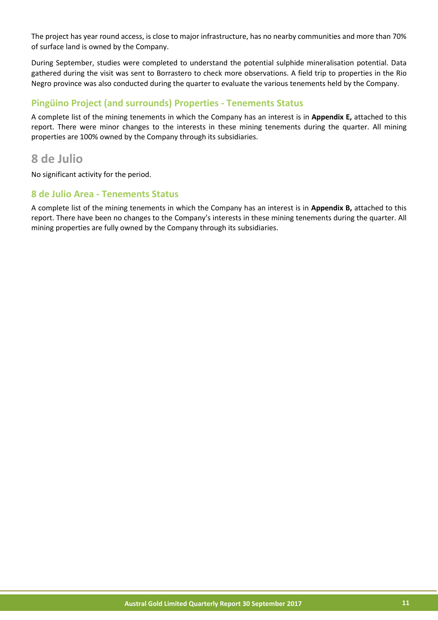The project has year round access, is close to major infrastructure, has no nearby communities and more than 70% of surface land is owned by the Company.

During September, studies were completed to understand the potential sulphide mineralisation potential. Data gathered during the visit was sent to Borrastero to check more observations. A field trip to properties in the Rio Negro province was also conducted during the quarter to evaluate the various tenements held by the Company.

#### **Pingüino Project (and surrounds) Properties - Tenements Status**

A complete list of the mining tenements in which the Company has an interest is in **Appendix E,** attached to this report. There were minor changes to the interests in these mining tenements during the quarter. All mining properties are 100% owned by the Company through its subsidiaries.

### **8 de Julio**

No significant activity for the period.

#### **8 de Julio Area - Tenements Status**

A complete list of the mining tenements in which the Company has an interest is in **Appendix B,** attached to this report. There have been no changes to the Company's interests in these mining tenements during the quarter. All mining properties are fully owned by the Company through its subsidiaries.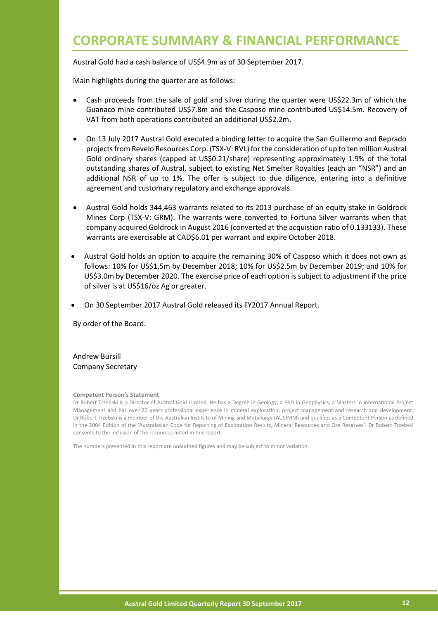## **CORPORATE SUMMARY & FINANCIAL PERFORMANCE**

Austral Gold had a cash balance of US\$4.9m as of 30 September 2017.

Main highlights during the quarter are as follows:

- Cash proceeds from the sale of gold and silver during the quarter were US\$22.3m of which the Guanaco mine contributed US\$7.8m and the Casposo mine contributed US\$14.5m. Recovery of VAT from both operations contributed an additional US\$2.2m.
- On 13 July 2017 Austral Gold executed a binding letter to acquire the San Guillermo and Reprado projects from Revelo Resources Corp. (TSX-V: RVL) for the consideration of up to ten million Austral Gold ordinary shares (capped at US\$0.21/share) representing approximately 1.9% of the total outstanding shares of Austral, subject to existing Net Smelter Royalties (each an "NSR") and an additional NSR of up to 1%. The offer is subject to due diligence, entering into a definitive agreement and customary regulatory and exchange approvals.
- Austral Gold holds 344,463 warrants related to its 2013 purchase of an equity stake in Goldrock Mines Corp (TSX-V: GRM). The warrants were converted to Fortuna Silver warrants when that company acquired Goldrock in August 2016 (converted at the acquistion ratio of 0.133133). These warrants are exercisable at CAD\$6.01 per warrant and expire October 2018.
- Austral Gold holds an option to acquire the remaining 30% of Casposo which it does not own as follows: 10% for US\$1.5m by December 2018; 10% for US\$2.5m by December 2019; and 10% for US\$3.0m by December 2020. The exercise price of each option is subject to adjustment if the price of silver is at US\$16/oz Ag or greater.
- On 30 September 2017 Austral Gold released its FY2017 Annual Report.

By order of the Board.

Andrew Bursill Company Secretary

#### **Competent Person's Statement**

Dr Robert Trzebski is a Director of Austral Gold Limited. He has a Degree in Geology, a PhD in Geophysics, a Masters in International Project Management and has over 20 years professional experience in mineral exploration, project management and research and development. Dr Robert Trzebski is a member of the Australian Institute of Mining and Metallurgy (AUSIMM) and qualifies as a Competent Person as defined in the 2004 Edition of the 'Australasian Code for Reporting of Exploration Results, Mineral Resources and Ore Reserves'. Dr Robert Trzebski consents to the inclusion of the resources noted in this report.

The numbers presented in this report are unaudited figures and may be subject to minor variation.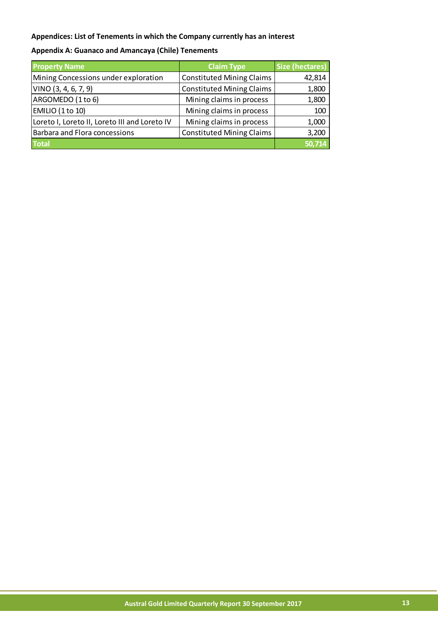#### **Appendices: List of Tenements in which the Company currently has an interest**

| <b>Property Name</b>                          | <b>Claim Type</b>                | Size (hectares) |
|-----------------------------------------------|----------------------------------|-----------------|
| Mining Concessions under exploration          | <b>Constituted Mining Claims</b> | 42,814          |
| VINO (3, 4, 6, 7, 9)                          | <b>Constituted Mining Claims</b> | 1,800           |
| ARGOMEDO (1 to 6)                             | Mining claims in process         | 1,800           |
| EMILIO (1 to 10)                              | Mining claims in process         | 100             |
| Loreto I, Loreto II, Loreto III and Loreto IV | Mining claims in process         | 1,000           |
| <b>Barbara and Flora concessions</b>          | <b>Constituted Mining Claims</b> | 3,200           |
| <b>Total</b>                                  |                                  | 50,714          |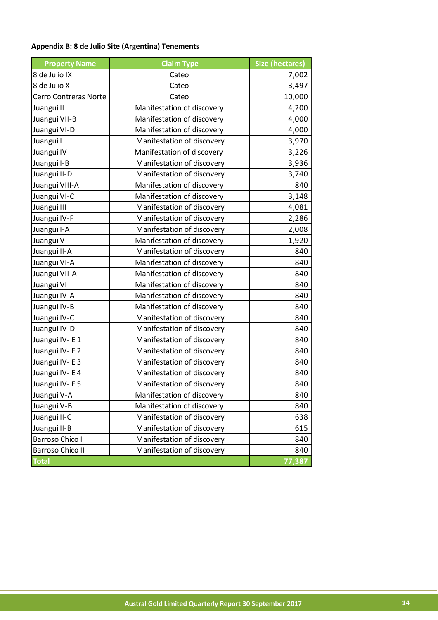#### **Appendix B: 8 de Julio Site (Argentina) Tenements**

| <b>Property Name</b>    | <b>Claim Type</b>          | <b>Size (hectares)</b> |
|-------------------------|----------------------------|------------------------|
| 8 de Julio IX           | Cateo                      | 7,002                  |
| 8 de Julio X            | Cateo                      | 3,497                  |
| Cerro Contreras Norte   | Cateo                      | 10,000                 |
| Juangui II              | Manifestation of discovery | 4,200                  |
| Juangui VII-B           | Manifestation of discovery | 4,000                  |
| Juangui VI-D            | Manifestation of discovery | 4,000                  |
| Juangui I               | Manifestation of discovery | 3,970                  |
| Juangui IV              | Manifestation of discovery | 3,226                  |
| Juangui I-B             | Manifestation of discovery | 3,936                  |
| Juangui II-D            | Manifestation of discovery | 3,740                  |
| Juangui VIII-A          | Manifestation of discovery | 840                    |
| Juangui VI-C            | Manifestation of discovery | 3,148                  |
| Juangui III             | Manifestation of discovery | 4,081                  |
| Juangui IV-F            | Manifestation of discovery | 2,286                  |
| Juangui I-A             | Manifestation of discovery | 2,008                  |
| Juangui V               | Manifestation of discovery | 1,920                  |
| Juangui II-A            | Manifestation of discovery | 840                    |
| Juangui VI-A            | Manifestation of discovery | 840                    |
| Juangui VII-A           | Manifestation of discovery | 840                    |
| Juangui VI              | Manifestation of discovery | 840                    |
| Juangui IV-A            | Manifestation of discovery | 840                    |
| Juangui IV-B            | Manifestation of discovery | 840                    |
| Juangui IV-C            | Manifestation of discovery | 840                    |
| Juangui IV-D            | Manifestation of discovery | 840                    |
| Juangui IV - E 1        | Manifestation of discovery | 840                    |
| Juangui IV - E 2        | Manifestation of discovery | 840                    |
| Juangui IV - E 3        | Manifestation of discovery | 840                    |
| Juangui IV - E 4        | Manifestation of discovery | 840                    |
| Juangui IV - E 5        | Manifestation of discovery | 840                    |
| Juangui V-A             | Manifestation of discovery | 840                    |
| Juangui V-B             | Manifestation of discovery | 840                    |
| Juangui II-C            | Manifestation of discovery | 638                    |
| Juangui II-B            | Manifestation of discovery | 615                    |
| Barroso Chico I         | Manifestation of discovery | 840                    |
| <b>Barroso Chico II</b> | Manifestation of discovery | 840                    |
| <b>Total</b>            |                            | 77,387                 |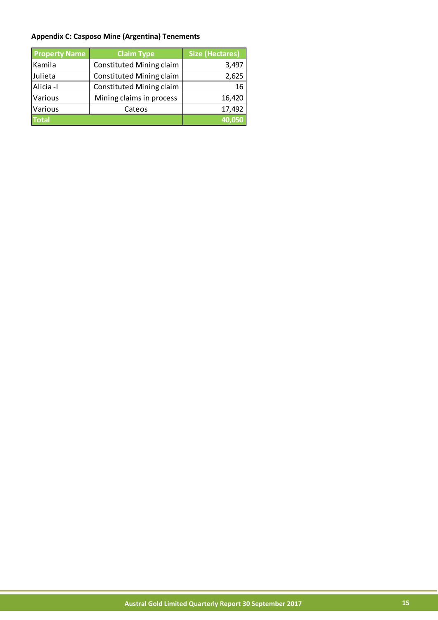#### **Appendix C: Casposo Mine (Argentina) Tenements**

| <b>Property Name</b> | <b>Claim Type</b>               | <b>Size (Hectares)</b> |
|----------------------|---------------------------------|------------------------|
| Kamila               | Constituted Mining claim        | 3,497                  |
| Julieta              | <b>Constituted Mining claim</b> | 2,625                  |
| Alicia -I            | <b>Constituted Mining claim</b> | 16                     |
| Various              | Mining claims in process        | 16,420                 |
| Various              | Cateos                          | 17,492                 |
| <b>Total</b>         |                                 | 40.050                 |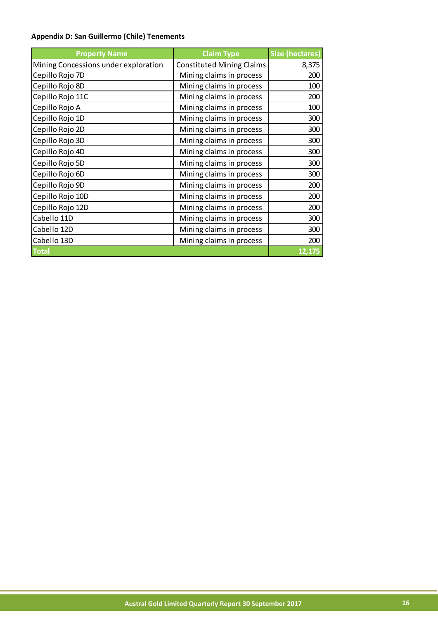#### **Appendix D: San Guillermo (Chile) Tenements**

| <b>Property Name</b>                 | <b>Claim Type</b>                | <b>Size (hectares)</b> |
|--------------------------------------|----------------------------------|------------------------|
| Mining Concessions under exploration | <b>Constituted Mining Claims</b> | 8,375                  |
| Cepillo Rojo 7D                      | Mining claims in process         | 200                    |
| Cepillo Rojo 8D                      | Mining claims in process         | 100                    |
| Cepillo Rojo 11C                     | Mining claims in process         | 200                    |
| Cepillo Rojo A                       | Mining claims in process         | 100                    |
| Cepillo Rojo 1D                      | Mining claims in process         | 300                    |
| Cepillo Rojo 2D                      | Mining claims in process         | 300                    |
| Cepillo Rojo 3D                      | Mining claims in process         | 300                    |
| Cepillo Rojo 4D                      | Mining claims in process         | 300                    |
| Cepillo Rojo 5D                      | Mining claims in process         | 300                    |
| Cepillo Rojo 6D                      | Mining claims in process         | 300                    |
| Cepillo Rojo 9D                      | Mining claims in process         | 200                    |
| Cepillo Rojo 10D                     | Mining claims in process         | 200                    |
| Cepillo Rojo 12D                     | Mining claims in process         | 200                    |
| Cabello 11D                          | Mining claims in process         | 300                    |
| Cabello 12D                          | Mining claims in process         | 300                    |
| Cabello 13D                          | Mining claims in process         | 200                    |
| <b>Total</b>                         |                                  | 12,175                 |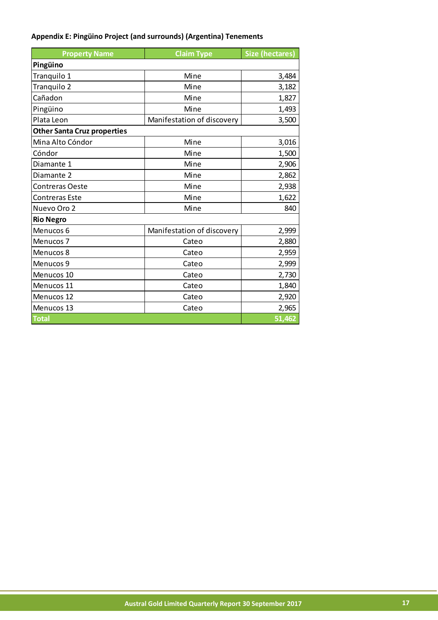#### **Appendix E: Pingüino Project (and surrounds) (Argentina) Tenements**

| <b>Property Name</b>               | <b>Claim Type</b>          | <b>Size (hectares)</b> |  |
|------------------------------------|----------------------------|------------------------|--|
| Pingüino                           |                            |                        |  |
| Tranquilo 1                        | Mine                       | 3,484                  |  |
| Tranquilo 2                        | Mine                       | 3,182                  |  |
| Cañadon                            | Mine                       | 1,827                  |  |
| Pingüino                           | Mine                       | 1,493                  |  |
| Plata Leon                         | Manifestation of discovery | 3,500                  |  |
| <b>Other Santa Cruz properties</b> |                            |                        |  |
| Mina Alto Cóndor                   | Mine                       | 3,016                  |  |
| Cóndor                             | Mine                       | 1,500                  |  |
| Diamante 1                         | Mine                       | 2,906                  |  |
| Diamante 2                         | Mine                       | 2,862                  |  |
| Contreras Oeste                    | Mine                       | 2,938                  |  |
| <b>Contreras Este</b>              | Mine                       | 1,622                  |  |
| Nuevo Oro 2                        | Mine                       | 840                    |  |
| <b>Rio Negro</b>                   |                            |                        |  |
| Menucos 6                          | Manifestation of discovery | 2,999                  |  |
| Menucos <sub>7</sub>               | Cateo                      | 2,880                  |  |
| Menucos 8                          | Cateo                      | 2,959                  |  |
| Menucos 9                          | Cateo                      | 2,999                  |  |
| Menucos 10                         | Cateo                      | 2,730                  |  |
| Menucos 11                         | Cateo                      | 1,840                  |  |
| Menucos 12                         | Cateo                      | 2,920                  |  |
| Menucos 13                         | Cateo                      | 2,965                  |  |
| <b>Total</b>                       |                            | 51,462                 |  |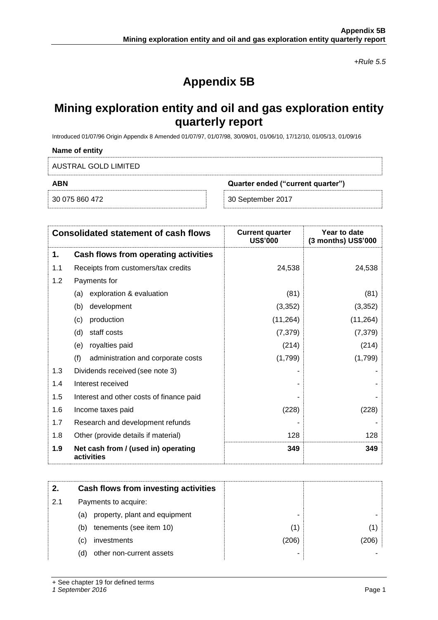+Rule 5.5

## **Appendix 5B**

### **Mining exploration entity and oil and gas exploration entity quarterly report**

Introduced 01/07/96 Origin Appendix 8 Amended 01/07/97, 01/07/98, 30/09/01, 01/06/10, 17/12/10, 01/05/13, 01/09/16

## **Name of entity** AUSTRAL GOLD LIMITED **ABN Quarter ended ("current quarter")** 30 075 860 472 30 September 2017

|     | <b>Consolidated statement of cash flows</b>       | <b>Current quarter</b><br><b>US\$'000</b> | Year to date<br>(3 months) US\$'000 |
|-----|---------------------------------------------------|-------------------------------------------|-------------------------------------|
| 1.  | Cash flows from operating activities              |                                           |                                     |
| 1.1 | Receipts from customers/tax credits               | 24,538                                    | 24,538                              |
| 1.2 | Payments for                                      |                                           |                                     |
|     | exploration & evaluation<br>(a)                   | (81)                                      | (81)                                |
|     | (b)<br>development                                | (3,352)                                   | (3,352)                             |
|     | production<br>(c)                                 | (11, 264)                                 | (11, 264)                           |
|     | staff costs<br>(d)                                | (7, 379)                                  | (7, 379)                            |
|     | royalties paid<br>(e)                             | (214)                                     | (214)                               |
|     | (f)<br>administration and corporate costs         | (1,799)                                   | (1,799)                             |
| 1.3 | Dividends received (see note 3)                   |                                           |                                     |
| 1.4 | Interest received                                 |                                           |                                     |
| 1.5 | Interest and other costs of finance paid          |                                           |                                     |
| 1.6 | Income taxes paid                                 | (228)                                     | (228)                               |
| 1.7 | Research and development refunds                  |                                           |                                     |
| 1.8 | Other (provide details if material)               | 128                                       | 128                                 |
| 1.9 | Net cash from / (used in) operating<br>activities | 349                                       | 349                                 |

| 2.  | Cash flows from investing activities |       |      |
|-----|--------------------------------------|-------|------|
| 2.1 | Payments to acquire:                 |       |      |
|     | property, plant and equipment<br>(a) | -     |      |
|     | tenements (see item 10)<br>(b)       | ้1)   |      |
|     | investments<br>C)                    | (206) | 206) |
|     | other non-current assets<br>(d       |       |      |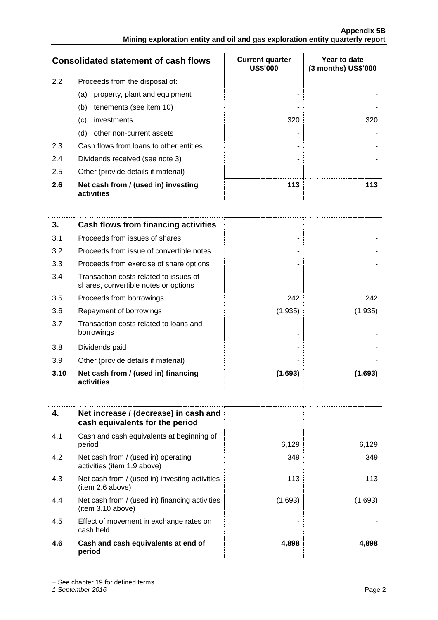|     | <b>Consolidated statement of cash flows</b>       | <b>Current quarter</b><br><b>US\$'000</b> | Year to date<br>(3 months) US\$'000 |
|-----|---------------------------------------------------|-------------------------------------------|-------------------------------------|
| 2.2 | Proceeds from the disposal of:                    |                                           |                                     |
|     | property, plant and equipment<br>(a)              |                                           |                                     |
|     | tenements (see item 10)<br>(b)                    |                                           |                                     |
|     | (c)<br>investments                                | 320                                       | 320                                 |
|     | other non-current assets<br>(d)                   |                                           |                                     |
| 2.3 | Cash flows from loans to other entities           |                                           |                                     |
| 2.4 | Dividends received (see note 3)                   |                                           |                                     |
| 2.5 | Other (provide details if material)               |                                           |                                     |
| 2.6 | Net cash from / (used in) investing<br>activities | 113                                       | 113                                 |

| 3.   | <b>Cash flows from financing activities</b>                                    |         |         |
|------|--------------------------------------------------------------------------------|---------|---------|
| 3.1  | Proceeds from issues of shares                                                 |         |         |
| 3.2  | Proceeds from issue of convertible notes                                       |         |         |
| 3.3  | Proceeds from exercise of share options                                        |         |         |
| 3.4  | Transaction costs related to issues of<br>shares, convertible notes or options |         |         |
| 3.5  | Proceeds from borrowings                                                       | 242     | 242     |
| 3.6  | Repayment of borrowings                                                        | (1,935) | (1,935) |
| 3.7  | Transaction costs related to loans and<br>borrowings                           |         |         |
| 3.8  | Dividends paid                                                                 |         |         |
| 3.9  | Other (provide details if material)                                            |         |         |
| 3.10 | Net cash from / (used in) financing<br>activities                              | (1,693) | (1,693) |

| 4.  | Net increase / (decrease) in cash and<br>cash equivalents for the period |         |         |
|-----|--------------------------------------------------------------------------|---------|---------|
| 4.1 | Cash and cash equivalents at beginning of<br>period                      | 6,129   | 6,129   |
| 4.2 | Net cash from / (used in) operating<br>activities (item 1.9 above)       | 349     | 349     |
| 4.3 | Net cash from / (used in) investing activities<br>(item 2.6 above)       | 113     | 113     |
| 4.4 | Net cash from / (used in) financing activities<br>item 3.10 above)       | (1,693) | (1,693) |
| 4.5 | Effect of movement in exchange rates on<br>cash held                     |         |         |
| 4.6 | Cash and cash equivalents at end of<br>period                            | 4,898   | 4,898   |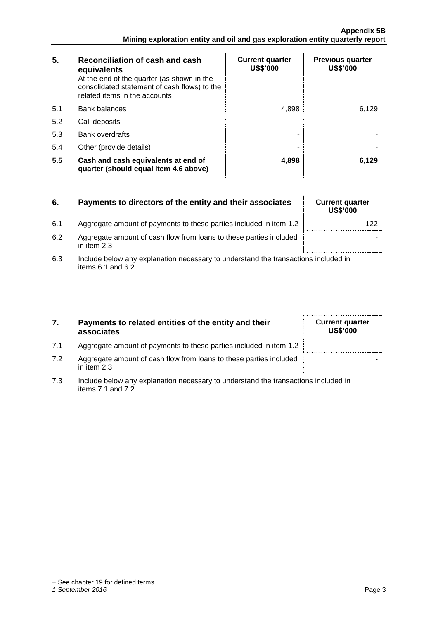| 5.  | Reconciliation of cash and cash<br>equivalents<br>At the end of the quarter (as shown in the<br>consolidated statement of cash flows) to the<br>related items in the accounts | <b>Current quarter</b><br><b>US\$'000</b> | <b>Previous quarter</b><br><b>US\$'000</b> |
|-----|-------------------------------------------------------------------------------------------------------------------------------------------------------------------------------|-------------------------------------------|--------------------------------------------|
| 5.1 | Bank balances                                                                                                                                                                 | 4,898                                     | 6.129                                      |
| 5.2 | Call deposits                                                                                                                                                                 |                                           |                                            |
| 5.3 | <b>Bank overdrafts</b>                                                                                                                                                        |                                           |                                            |
| 5.4 | Other (provide details)                                                                                                                                                       | ۰                                         |                                            |
| 5.5 | Cash and cash equivalents at end of<br>quarter (should equal item 4.6 above)                                                                                                  | 4,898                                     | 6,129                                      |

| 6.  | Payments to directors of the entity and their associates                                                    | <b>Current quarter</b><br><b>US\$'000</b> |
|-----|-------------------------------------------------------------------------------------------------------------|-------------------------------------------|
| 6.1 | Aggregate amount of payments to these parties included in item 1.2                                          |                                           |
| 6.2 | Aggregate amount of cash flow from loans to these parties included<br>in item 2.3                           |                                           |
| 6.3 | Include below any explanation necessary to understand the transactions included in<br>items $6.1$ and $6.2$ |                                           |
|     |                                                                                                             |                                           |
|     |                                                                                                             |                                           |

| 7. | Payments to related entities of the entity and their |
|----|------------------------------------------------------|
|    | associates                                           |

| 7.1 | Aggregate amount of payments to these parties included in item 1.2                  |  |
|-----|-------------------------------------------------------------------------------------|--|
| 7.2 | Aggregate amount of cash flow from loans to these parties included<br>in item $2.3$ |  |

7.3 Include below any explanation necessary to understand the transactions included in items 7.1 and 7.2

|  | <b>Current quarter</b><br><b>US\$'000</b> |  |  |
|--|-------------------------------------------|--|--|
|  |                                           |  |  |
|  |                                           |  |  |
|  |                                           |  |  |
|  |                                           |  |  |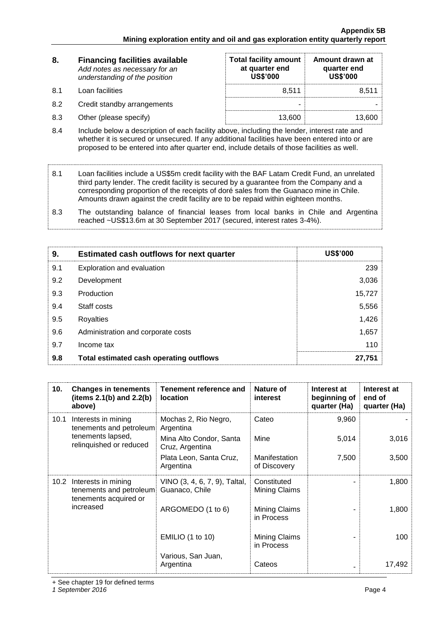| 8.  | <b>Financing facilities available</b><br>Add notes as necessary for an<br>understanding of the position | <b>Total facility amount</b><br>at quarter end<br><b>US\$'000</b> | Amount drawn at<br>quarter end<br><b>US\$'000</b> |  |
|-----|---------------------------------------------------------------------------------------------------------|-------------------------------------------------------------------|---------------------------------------------------|--|
| 8.1 | Loan facilities                                                                                         | 8.511                                                             | 8,511                                             |  |
| 8.2 | Credit standby arrangements                                                                             | -                                                                 |                                                   |  |
| 8.3 | Other (please specify)                                                                                  | 13,600                                                            | 13,600                                            |  |

- 8.4 Include below a description of each facility above, including the lender, interest rate and whether it is secured or unsecured. If any additional facilities have been entered into or are proposed to be entered into after quarter end, include details of those facilities as well.
- 8.1 Loan facilities include a US\$5m credit facility with the BAF Latam Credit Fund, an unrelated third party lender. The credit facility is secured by a guarantee from the Company and a corresponding proportion of the receipts of doré sales from the Guanaco mine in Chile. Amounts drawn against the credit facility are to be repaid within eighteen months.
- 8.3 The outstanding balance of financial leases from local banks in Chile and Argentina reached ~US\$13.6m at 30 September 2017 (secured, interest rates 3-4%).

| 9.  | <b>Estimated cash outflows for next quarter</b> | <b>US\$'000</b> |
|-----|-------------------------------------------------|-----------------|
| 9.1 | Exploration and evaluation                      | 239             |
| 9.2 | Development                                     | 3,036           |
| 9.3 | Production                                      | 15,727          |
| 9.4 | Staff costs                                     | 5,556           |
| 9.5 | Royalties                                       | 1,426           |
| 9.6 | Administration and corporate costs              | 1,657           |
| 9.7 | Income tax                                      | 110             |
| 9.8 | Total estimated cash operating outflows         | 27,751          |

| 10.  | <b>Changes in tenements</b><br>(items $2.1(b)$ and $2.2(b)$<br>above)        | <b>Tenement reference and</b><br><b>location</b> | Nature of<br><b>interest</b>  | Interest at<br>beginning of<br>quarter (Ha) | Interest at<br>end of<br>quarter (Ha) |
|------|------------------------------------------------------------------------------|--------------------------------------------------|-------------------------------|---------------------------------------------|---------------------------------------|
| 10.1 | Interests in mining<br>tenements and petroleum                               | Mochas 2, Rio Negro,<br>Argentina                | Cateo                         | 9,960                                       |                                       |
|      | tenements lapsed,<br>relinquished or reduced                                 | Mina Alto Condor, Santa<br>Cruz, Argentina       | Mine                          | 5,014                                       | 3,016                                 |
|      |                                                                              | Plata Leon, Santa Cruz,<br>Argentina             | Manifestation<br>of Discovery | 7,500                                       | 3,500                                 |
|      | 10.2 Interests in mining<br>tenements and petroleum<br>tenements acquired or | VINO (3, 4, 6, 7, 9), Taltal,<br>Guanaco, Chile  | Constituted<br>Mining Claims  |                                             | 1,800                                 |
|      | increased                                                                    | ARGOMEDO (1 to 6)                                | Mining Claims<br>in Process   |                                             | 1,800                                 |
|      |                                                                              | <b>EMILIO (1 to 10)</b>                          | Mining Claims<br>in Process   |                                             | 100                                   |
|      |                                                                              | Various, San Juan,<br>Argentina                  | Cateos                        |                                             | 17,492                                |

+ See chapter 19 for defined terms

1 September 2016 **Page 4** Page 4